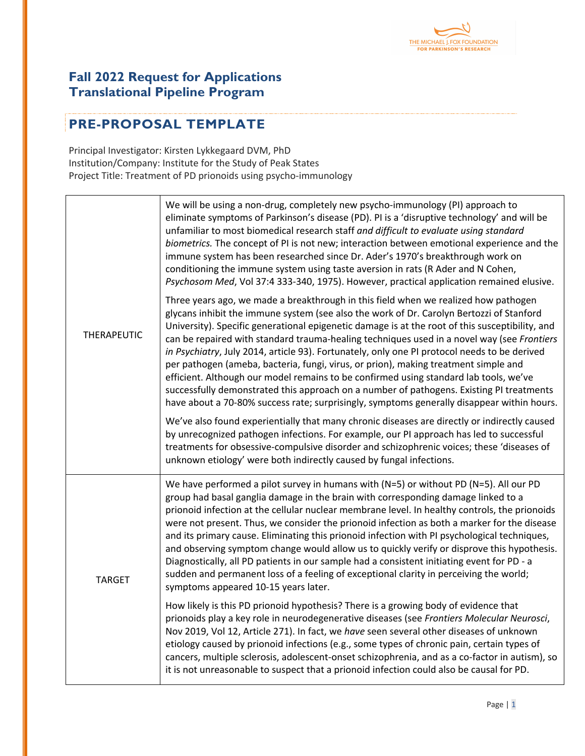

## **Fall 2022 Request for Applications Translational Pipeline Program**

## **PRE-PROPOSAL TEMPLATE**

Principal Investigator: Kirsten Lykkegaard DVM, PhD Institution/Company: Institute for the Study of Peak States Project Title: Treatment of PD prionoids using psycho-immunology

| <b>THERAPEUTIC</b> | We will be using a non-drug, completely new psycho-immunology (PI) approach to<br>eliminate symptoms of Parkinson's disease (PD). PI is a 'disruptive technology' and will be<br>unfamiliar to most biomedical research staff and difficult to evaluate using standard<br>biometrics. The concept of PI is not new; interaction between emotional experience and the<br>immune system has been researched since Dr. Ader's 1970's breakthrough work on<br>conditioning the immune system using taste aversion in rats (R Ader and N Cohen,<br>Psychosom Med, Vol 37:4 333-340, 1975). However, practical application remained elusive.                                                                                                                                                                                                                     |
|--------------------|------------------------------------------------------------------------------------------------------------------------------------------------------------------------------------------------------------------------------------------------------------------------------------------------------------------------------------------------------------------------------------------------------------------------------------------------------------------------------------------------------------------------------------------------------------------------------------------------------------------------------------------------------------------------------------------------------------------------------------------------------------------------------------------------------------------------------------------------------------|
|                    | Three years ago, we made a breakthrough in this field when we realized how pathogen<br>glycans inhibit the immune system (see also the work of Dr. Carolyn Bertozzi of Stanford<br>University). Specific generational epigenetic damage is at the root of this susceptibility, and<br>can be repaired with standard trauma-healing techniques used in a novel way (see Frontiers<br>in Psychiatry, July 2014, article 93). Fortunately, only one PI protocol needs to be derived<br>per pathogen (ameba, bacteria, fungi, virus, or prion), making treatment simple and<br>efficient. Although our model remains to be confirmed using standard lab tools, we've<br>successfully demonstrated this approach on a number of pathogens. Existing PI treatments<br>have about a 70-80% success rate; surprisingly, symptoms generally disappear within hours. |
|                    | We've also found experientially that many chronic diseases are directly or indirectly caused<br>by unrecognized pathogen infections. For example, our PI approach has led to successful<br>treatments for obsessive-compulsive disorder and schizophrenic voices; these 'diseases of<br>unknown etiology' were both indirectly caused by fungal infections.                                                                                                                                                                                                                                                                                                                                                                                                                                                                                                |
| <b>TARGET</b>      | We have performed a pilot survey in humans with ( $N=5$ ) or without PD ( $N=5$ ). All our PD<br>group had basal ganglia damage in the brain with corresponding damage linked to a<br>prionoid infection at the cellular nuclear membrane level. In healthy controls, the prionoids<br>were not present. Thus, we consider the prionoid infection as both a marker for the disease<br>and its primary cause. Eliminating this prionoid infection with PI psychological techniques,<br>and observing symptom change would allow us to quickly verify or disprove this hypothesis.<br>Diagnostically, all PD patients in our sample had a consistent initiating event for PD - a<br>sudden and permanent loss of a feeling of exceptional clarity in perceiving the world;<br>symptoms appeared 10-15 years later.                                           |
|                    | How likely is this PD prionoid hypothesis? There is a growing body of evidence that<br>prionoids play a key role in neurodegenerative diseases (see Frontiers Molecular Neurosci,<br>Nov 2019, Vol 12, Article 271). In fact, we have seen several other diseases of unknown<br>etiology caused by prionoid infections (e.g., some types of chronic pain, certain types of<br>cancers, multiple sclerosis, adolescent-onset schizophrenia, and as a co-factor in autism), so<br>it is not unreasonable to suspect that a prionoid infection could also be causal for PD.                                                                                                                                                                                                                                                                                   |